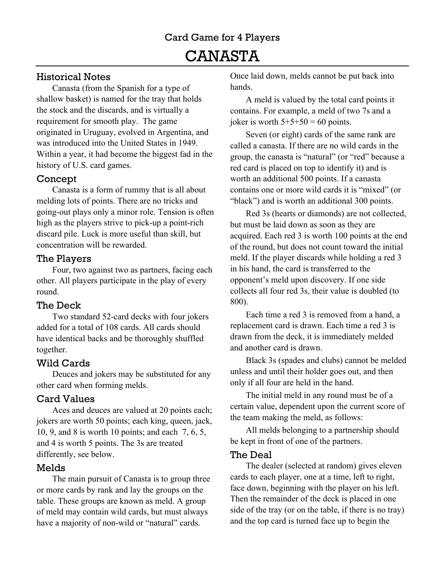## Historical Notes

Canasta (from the Spanish for a type of shallow basket) is named for the tray that holds the stock and the discards, and is virtually a requirement for smooth play. The game originated in Uruguay, evolved in Argentina, and was introduced into the United States in 1949. Within a year, it had become the biggest fad in the history of U.S. card games.

## Concept

Canasta is a form of rummy that is all about melding lots of points. There are no tricks and going-out plays only a minor role. Tension is often high as the players strive to pick-up a point-rich discard pile. Luck is more useful than skill, but concentration will be rewarded.

## The Players

Four, two against two as partners, facing each other. All players participate in the play of every round.

## The Deck

Two standard 52-card decks with four jokers added for a total of 108 cards. All cards should have identical backs and be thoroughly shuffled together.

## Wild Cards

Deuces and jokers may be substituted for any other card when forming melds.

## Card Values

Aces and deuces are valued at 20 points each; jokers are worth 50 points; each king, queen, jack, 10, 9, and 8 is worth 10 points; and each 7, 6, 5, and 4 is worth 5 points. The 3s are treated differently, see below.

## Melds

The main pursuit of Canasta is to group three or more cards by rank and lay the groups on the table. These groups are known as meld. A group of meld may contain wild cards, but must always have a majority of non-wild or "natural" cards.

Once laid down, melds cannot be put back into hands.

A meld is valued by the total card points it contains. For example, a meld of two 7s and a joker is worth  $5+5+50 = 60$  points.

Seven (or eight) cards of the same rank are called a canasta. If there are no wild cards in the group, the canasta is "natural" (or "red" because a red card is placed on top to identify it) and is worth an additional 500 points. If a canasta contains one or more wild cards it is "mixed" (or "black") and is worth an additional 300 points.

Red 3s (hearts or diamonds) are not collected, but must be laid down as soon as they are acquired. Each red 3 is worth 100 points at the end of the round, but does not count toward the initial meld. If the player discards while holding a red 3 in his hand, the card is transferred to the opponent's meld upon discovery. If one side collects all four red 3s, their value is doubled (to 800).

Each time a red 3 is removed from a hand, a replacement card is drawn. Each time a red 3 is drawn from the deck, it is immediately melded and another card is drawn.

Black 3s (spades and clubs) cannot be melded unless and until their holder goes out, and then only if all four are held in the hand.

The initial meld in any round must be of a certain value, dependent upon the current score of the team making the meld, as follows:

All melds belonging to a partnership should be kept in front of one of the partners.

#### The Deal

The dealer (selected at random) gives eleven cards to each player, one at a time, left to right, face down, beginning with the player on his left. Then the remainder of the deck is placed in one side of the tray (or on the table, if there is no tray) and the top card is turned face up to begin the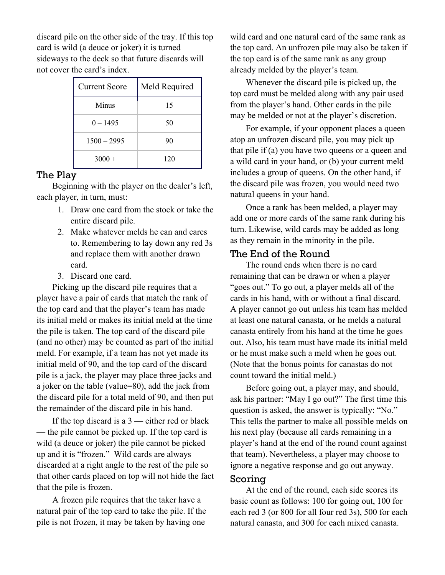discard pile on the other side of the tray. If this top card is wild (a deuce or joker) it is turned sideways to the deck so that future discards will not cover the card's index.

| <b>Current Score</b> | Meld Required |
|----------------------|---------------|
| Minus                | 15            |
| $0 - 1495$           | 50            |
| $1500 - 2995$        | 90            |
| $3000 +$             | 120           |

#### The Play

Beginning with the player on the dealer's left, each player, in turn, must:

- 1. Draw one card from the stock or take the entire discard pile.
- 2. Make whatever melds he can and cares to. Remembering to lay down any red 3s and replace them with another drawn card.
- 3. Discard one card.

Picking up the discard pile requires that a player have a pair of cards that match the rank of the top card and that the player's team has made its initial meld or makes its initial meld at the time the pile is taken. The top card of the discard pile (and no other) may be counted as part of the initial meld. For example, if a team has not yet made its initial meld of 90, and the top card of the discard pile is a jack, the player may place three jacks and a joker on the table (value=80), add the jack from the discard pile for a total meld of 90, and then put the remainder of the discard pile in his hand.

If the top discard is a  $3$  — either red or black — the pile cannot be picked up. If the top card is wild (a deuce or joker) the pile cannot be picked up and it is "frozen." Wild cards are always discarded at a right angle to the rest of the pile so that other cards placed on top will not hide the fact that the pile is frozen.

A frozen pile requires that the taker have a natural pair of the top card to take the pile. If the pile is not frozen, it may be taken by having one

wild card and one natural card of the same rank as the top card. An unfrozen pile may also be taken if the top card is of the same rank as any group already melded by the player's team.

Whenever the discard pile is picked up, the top card must be melded along with any pair used from the player's hand. Other cards in the pile may be melded or not at the player's discretion.

For example, if your opponent places a queen atop an unfrozen discard pile, you may pick up that pile if (a) you have two queens or a queen and a wild card in your hand, or (b) your current meld includes a group of queens. On the other hand, if the discard pile was frozen, you would need two natural queens in your hand.

Once a rank has been melded, a player may add one or more cards of the same rank during his turn. Likewise, wild cards may be added as long as they remain in the minority in the pile.

#### The End of the Round

The round ends when there is no card remaining that can be drawn or when a player "goes out." To go out, a player melds all of the cards in his hand, with or without a final discard. A player cannot go out unless his team has melded at least one natural canasta, or he melds a natural canasta entirely from his hand at the time he goes out. Also, his team must have made its initial meld or he must make such a meld when he goes out. (Note that the bonus points for canastas do not count toward the initial meld.)

Before going out, a player may, and should, ask his partner: "May I go out?" The first time this question is asked, the answer is typically: "No." This tells the partner to make all possible melds on his next play (because all cards remaining in a player's hand at the end of the round count against that team). Nevertheless, a player may choose to ignore a negative response and go out anyway.

#### Scoring

At the end of the round, each side scores its basic count as follows: 100 for going out, 100 for each red 3 (or 800 for all four red 3s), 500 for each natural canasta, and 300 for each mixed canasta.